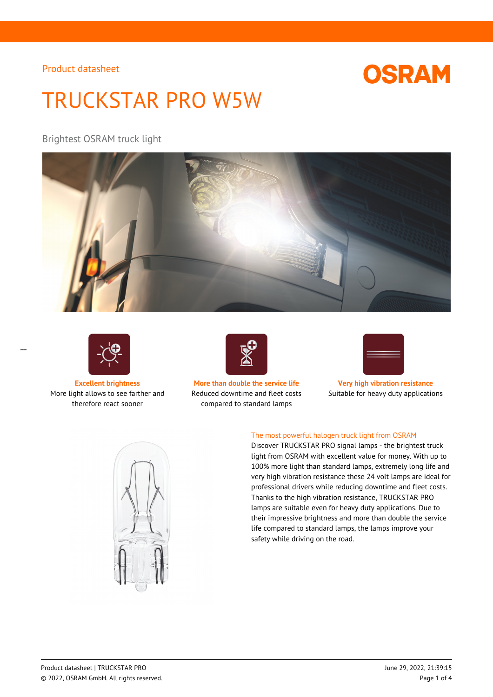# **OSRAM**

# TRUCKSTAR PRO W5W

Brightest OSRAM truck light





More light allows to see farther and therefore react sooner



**Excellent brightness More than double the service life Very high vibration resistance** Reduced downtime and fleet costs compared to standard lamps



Suitable for heavy duty applications



### The most powerful halogen truck light from OSRAM

Discover TRUCKSTAR PRO signal lamps - the brightest truck light from OSRAM with excellent value for money. With up to 100% more light than standard lamps, extremely long life and very high vibration resistance these 24 volt lamps are ideal for professional drivers while reducing downtime and fleet costs. Thanks to the high vibration resistance, TRUCKSTAR PRO lamps are suitable even for heavy duty applications. Due to their impressive brightness and more than double the service life compared to standard lamps, the lamps improve your safety while driving on the road.

 $\overline{a}$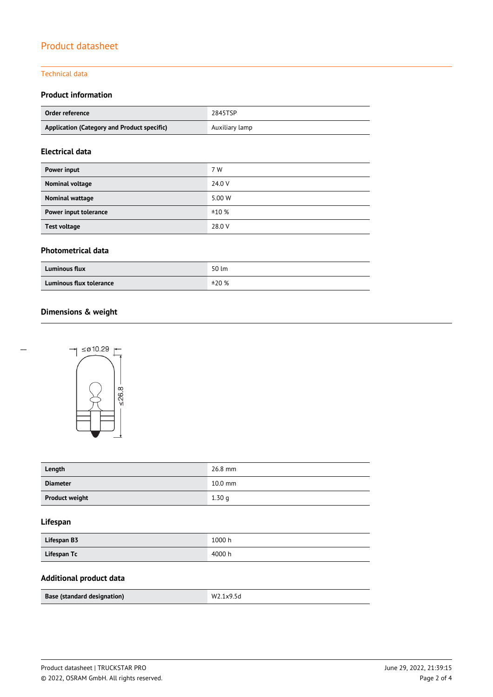#### Technical data

### **Product information**

| Order reference                             | 2845TSP        |
|---------------------------------------------|----------------|
| Application (Category and Product specific) | Auxiliary lamp |

#### **Electrical data**

| 7 W    |
|--------|
| 24.0 V |
| 5.00 W |
| ±10%   |
| 28.0 V |
|        |

#### **Photometrical data**

| <b>Luminous flux</b>    | 50 lm |
|-------------------------|-------|
| Luminous flux tolerance | ±20%  |

### **Dimensions & weight**



| Length                | 26.8 mm   |
|-----------------------|-----------|
| <b>Diameter</b>       | $10.0$ mm |
| <b>Product weight</b> | 1.30q     |

#### **Lifespan**

| Lifespan B3 | 1000 h |
|-------------|--------|
| Lifespan Tc | 4000 h |

#### **Additional product data**

| Base (standard designation) | w<br>סכ.עx. |
|-----------------------------|-------------|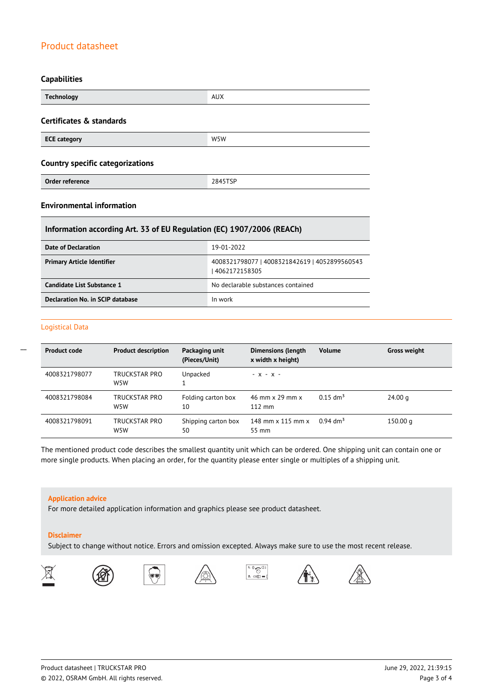#### **Capabilities**

| <b>Technology</b>                       | <b>AUX</b> |  |
|-----------------------------------------|------------|--|
| Certificates & standards                |            |  |
| <b>ECE category</b>                     | W5W        |  |
| <b>Country specific categorizations</b> |            |  |
| Order reference                         | 2845TSP    |  |

#### **Environmental information**

#### **Information according Art. 33 of EU Regulation (EC) 1907/2006 (REACh)**

| Date of Declaration               | 19-01-2022                                                     |
|-----------------------------------|----------------------------------------------------------------|
| <b>Primary Article Identifier</b> | 4008321798077   4008321842619   4052899560543<br>4062172158305 |
| Candidate List Substance 1        | No declarable substances contained                             |
| Declaration No. in SCIP database  | In work                                                        |

#### Logistical Data

 $\overline{a}$ 

| <b>Product code</b> | <b>Product description</b>        | Packaging unit<br>(Pieces/Unit) | <b>Dimensions (length</b><br>x width x height) | <b>Volume</b>          | <b>Gross weight</b> |
|---------------------|-----------------------------------|---------------------------------|------------------------------------------------|------------------------|---------------------|
| 4008321798077       | TRUCKSTAR PRO<br>W <sub>5</sub> W | Unpacked                        | $- X - X -$                                    |                        |                     |
| 4008321798084       | TRUCKSTAR PRO<br>W <sub>5</sub> W | Folding carton box<br>10        | 46 mm x 29 mm x<br>$112 \text{ mm}$            | $0.15$ dm <sup>3</sup> | 24.00 g             |
| 4008321798091       | TRUCKSTAR PRO<br>W5W              | Shipping carton box<br>50       | 148 mm $\times$ 115 mm $\times$<br>55 mm       | $0.94$ dm <sup>3</sup> | 150.00 $q$          |

The mentioned product code describes the smallest quantity unit which can be ordered. One shipping unit can contain one or more single products. When placing an order, for the quantity please enter single or multiples of a shipping unit.

#### **Application advice**

For more detailed application information and graphics please see product datasheet.

#### **Disclaimer**

Subject to change without notice. Errors and omission excepted. Always make sure to use the most recent release.